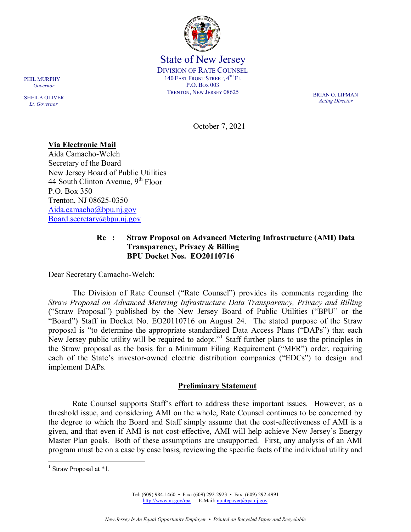

State of New Jersey DIVISION OF RATE COUNSEL 140 EAST FRONT STREET,  $4^{TH}$  Fl P.O. BOX 003 TRENTON, NEW JERSEY 08625 BRIAN O. LIPMAN

*Acting Director*

October 7, 2021

# **Via Electronic Mail**

Aida Camacho-Welch Secretary of the Board New Jersey Board of Public Utilities 44 South Clinton Avenue,  $9<sup>th</sup>$  Floor P.O. Box 350 Trenton, NJ 08625-0350 [Aida.camacho@bpu.nj.gov](mailto:Aida.camacho@bpu.nj.gov) [Board.secretary@bpu.nj.gov](mailto:Board.secretary@bpu.nj.gov)

### **Re : Straw Proposal on Advanced Metering Infrastructure (AMI) Data Transparency, Privacy & Billing BPU Docket Nos. EO20110716**

Dear Secretary Camacho-Welch:

The Division of Rate Counsel ("Rate Counsel") provides its comments regarding the *Straw Proposal on Advanced Metering Infrastructure Data Transparency, Privacy and Billing* ("Straw Proposal") published by the New Jersey Board of Public Utilities ("BPU" or the "Board") Staff in Docket No. EO20110716 on August 24. The stated purpose of the Straw proposal is "to determine the appropriate standardized Data Access Plans ("DAPs") that each New Jersey public utility will be required to adopt."<sup>[1](#page-0-0)</sup> Staff further plans to use the principles in the Straw proposal as the basis for a Minimum Filing Requirement ("MFR") order, requiring each of the State's investor-owned electric distribution companies ("EDCs") to design and implement DAPs.

### **Preliminary Statement**

Rate Counsel supports Staff's effort to address these important issues. However, as a threshold issue, and considering AMI on the whole, Rate Counsel continues to be concerned by the degree to which the Board and Staff simply assume that the cost-effectiveness of AMI is a given, and that even if AMI is not cost-effective, AMI will help achieve New Jersey's Energy Master Plan goals. Both of these assumptions are unsupported. First, any analysis of an AMI program must be on a case by case basis, reviewing the specific facts of the individual utility and

Tel: (609) 984-1460 • Fax: (609) 292-2923 • Fax: (609) 292-4991 [http://www.nj.gov/rpa](http://www.state.nj.us/publicadvocate/utility) E-Mail: [njratepayer@rpa.nj.gov](mailto:njratepayer@rpa.nj.gov)

SHEILA OLIVER  *Lt. Governor*

<span id="page-0-0"></span> $1$  Straw Proposal at  $*1$ .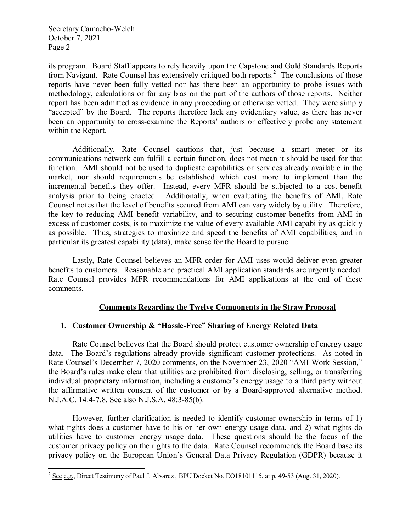its program. Board Staff appears to rely heavily upon the Capstone and Gold Standards Reports from Navigant. Rate Counsel has extensively critiqued both reports.<sup>[2](#page-1-0)</sup> The conclusions of those reports have never been fully vetted nor has there been an opportunity to probe issues with methodology, calculations or for any bias on the part of the authors of those reports. Neither report has been admitted as evidence in any proceeding or otherwise vetted. They were simply "accepted" by the Board. The reports therefore lack any evidentiary value, as there has never been an opportunity to cross-examine the Reports' authors or effectively probe any statement within the Report.

Additionally, Rate Counsel cautions that, just because a smart meter or its communications network can fulfill a certain function, does not mean it should be used for that function. AMI should not be used to duplicate capabilities or services already available in the market, nor should requirements be established which cost more to implement than the incremental benefits they offer. Instead, every MFR should be subjected to a cost-benefit analysis prior to being enacted. Additionally, when evaluating the benefits of AMI, Rate Counsel notes that the level of benefits secured from AMI can vary widely by utility. Therefore, the key to reducing AMI benefit variability, and to securing customer benefits from AMI in excess of customer costs, is to maximize the value of every available AMI capability as quickly as possible. Thus, strategies to maximize and speed the benefits of AMI capabilities, and in particular its greatest capability (data), make sense for the Board to pursue.

Lastly, Rate Counsel believes an MFR order for AMI uses would deliver even greater benefits to customers. Reasonable and practical AMI application standards are urgently needed. Rate Counsel provides MFR recommendations for AMI applications at the end of these comments.

### **Comments Regarding the Twelve Components in the Straw Proposal**

### **1. Customer Ownership & "Hassle-Free" Sharing of Energy Related Data**

Rate Counsel believes that the Board should protect customer ownership of energy usage data. The Board's regulations already provide significant customer protections. As noted in Rate Counsel's December 7, 2020 comments, on the November 23, 2020 "AMI Work Session," the Board's rules make clear that utilities are prohibited from disclosing, selling, or transferring individual proprietary information, including a customer's energy usage to a third party without the affirmative written consent of the customer or by a Board-approved alternative method. N.J.A.C. 14:4-7.8. See also N.J.S.A. 48:3-85(b).

However, further clarification is needed to identify customer ownership in terms of 1) what rights does a customer have to his or her own energy usage data, and 2) what rights do utilities have to customer energy usage data. These questions should be the focus of the customer privacy policy on the rights to the data. Rate Counsel recommends the Board base its privacy policy on the European Union's General Data Privacy Regulation (GDPR) because it

<span id="page-1-0"></span><sup>&</sup>lt;sup>2</sup> See e.g., Direct Testimony of Paul J. Alvarez, BPU Docket No. EO18101115, at p. 49-53 (Aug. 31, 2020).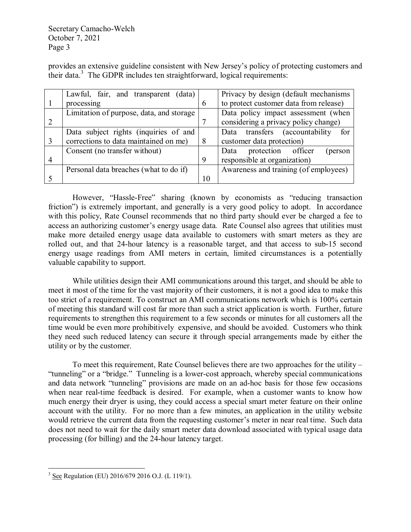provides an extensive guideline consistent with New Jersey's policy of protecting customers and their data. [3](#page-2-0) The GDPR includes ten straightforward, logical requirements:

| Lawful, fair, and transparent (data)     |          | Privacy by design (default mechanisms)           |
|------------------------------------------|----------|--------------------------------------------------|
| processing                               | 6        | to protect customer data from release)           |
| Limitation of purpose, data, and storage |          | Data policy impact assessment (when              |
|                                          |          | considering a privacy policy change)             |
| Data subject rights (inquiries of and    |          | Data transfers<br><i>(accountability)</i><br>for |
| corrections to data maintained on me)    | 8        | customer data protection)                        |
| Consent (no transfer without)            |          | protection officer<br>Data<br>(person            |
|                                          | 9        | responsible at organization)                     |
| Personal data breaches (what to do if)   |          | Awareness and training (of employees)            |
|                                          | $\Omega$ |                                                  |

However, "Hassle-Free" sharing (known by economists as "reducing transaction friction") is extremely important, and generally is a very good policy to adopt. In accordance with this policy, Rate Counsel recommends that no third party should ever be charged a fee to access an authorizing customer's energy usage data*.* Rate Counsel also agrees that utilities must make more detailed energy usage data available to customers with smart meters as they are rolled out, and that 24-hour latency is a reasonable target, and that access to sub-15 second energy usage readings from AMI meters in certain, limited circumstances is a potentially valuable capability to support.

While utilities design their AMI communications around this target, and should be able to meet it most of the time for the vast majority of their customers, it is not a good idea to make this too strict of a requirement. To construct an AMI communications network which is 100% certain of meeting this standard will cost far more than such a strict application is worth. Further, future requirements to strengthen this requirement to a few seconds or minutes for all customers all the time would be even more prohibitively expensive, and should be avoided. Customers who think they need such reduced latency can secure it through special arrangements made by either the utility or by the customer.

To meet this requirement, Rate Counsel believes there are two approaches for the utility – "tunneling" or a "bridge." Tunneling is a lower-cost approach, whereby special communications and data network "tunneling" provisions are made on an ad-hoc basis for those few occasions when near real-time feedback is desired. For example, when a customer wants to know how much energy their dryer is using, they could access a special smart meter feature on their online account with the utility. For no more than a few minutes, an application in the utility website would retrieve the current data from the requesting customer's meter in near real time. Such data does not need to wait for the daily smart meter data download associated with typical usage data processing (for billing) and the 24-hour latency target.

<span id="page-2-0"></span><sup>&</sup>lt;sup>3</sup> See Regulation (EU) 2016/679 2016 O.J. (L 119/1).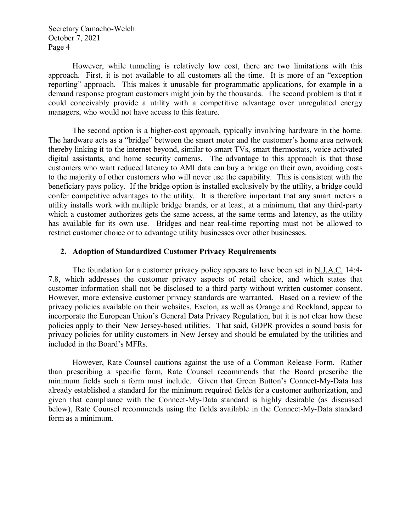However, while tunneling is relatively low cost, there are two limitations with this approach. First, it is not available to all customers all the time. It is more of an "exception reporting" approach. This makes it unusable for programmatic applications, for example in a demand response program customers might join by the thousands. The second problem is that it could conceivably provide a utility with a competitive advantage over unregulated energy managers, who would not have access to this feature.

The second option is a higher-cost approach, typically involving hardware in the home. The hardware acts as a "bridge" between the smart meter and the customer's home area network thereby linking it to the internet beyond, similar to smart TVs, smart thermostats, voice activated digital assistants, and home security cameras. The advantage to this approach is that those customers who want reduced latency to AMI data can buy a bridge on their own, avoiding costs to the majority of other customers who will never use the capability. This is consistent with the beneficiary pays policy. If the bridge option is installed exclusively by the utility, a bridge could confer competitive advantages to the utility. It is therefore important that any smart meters a utility installs work with multiple bridge brands, or at least, at a minimum, that any third-party which a customer authorizes gets the same access, at the same terms and latency, as the utility has available for its own use. Bridges and near real-time reporting must not be allowed to restrict customer choice or to advantage utility businesses over other businesses.

### **2. Adoption of Standardized Customer Privacy Requirements**

The foundation for a customer privacy policy appears to have been set in N.J.A.C. 14:4- 7.8, which addresses the customer privacy aspects of retail choice, and which states that customer information shall not be disclosed to a third party without written customer consent. However, more extensive customer privacy standards are warranted. Based on a review of the privacy policies available on their websites, Exelon, as well as Orange and Rockland, appear to incorporate the European Union's General Data Privacy Regulation, but it is not clear how these policies apply to their New Jersey-based utilities. That said, GDPR provides a sound basis for privacy policies for utility customers in New Jersey and should be emulated by the utilities and included in the Board's MFRs.

However, Rate Counsel cautions against the use of a Common Release Form. Rather than prescribing a specific form, Rate Counsel recommends that the Board prescribe the minimum fields such a form must include. Given that Green Button's Connect-My-Data has already established a standard for the minimum required fields for a customer authorization, and given that compliance with the Connect-My-Data standard is highly desirable (as discussed below), Rate Counsel recommends using the fields available in the Connect-My-Data standard form as a minimum.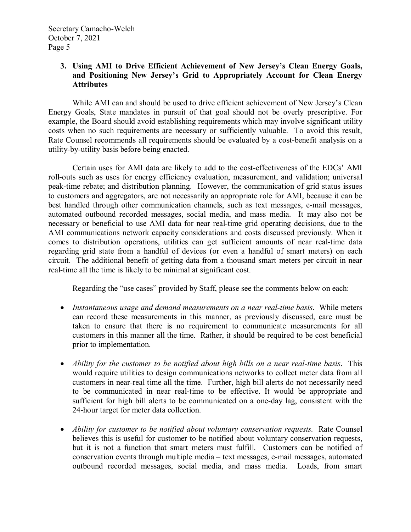# **3. Using AMI to Drive Efficient Achievement of New Jersey's Clean Energy Goals, and Positioning New Jersey's Grid to Appropriately Account for Clean Energy Attributes**

While AMI can and should be used to drive efficient achievement of New Jersey's Clean Energy Goals, State mandates in pursuit of that goal should not be overly prescriptive. For example, the Board should avoid establishing requirements which may involve significant utility costs when no such requirements are necessary or sufficiently valuable. To avoid this result, Rate Counsel recommends all requirements should be evaluated by a cost-benefit analysis on a utility-by-utility basis before being enacted.

Certain uses for AMI data are likely to add to the cost-effectiveness of the EDCs' AMI roll-outs such as uses for energy efficiency evaluation, measurement, and validation; universal peak-time rebate; and distribution planning. However, the communication of grid status issues to customers and aggregators, are not necessarily an appropriate role for AMI, because it can be best handled through other communication channels, such as text messages, e-mail messages, automated outbound recorded messages, social media, and mass media. It may also not be necessary or beneficial to use AMI data for near real-time grid operating decisions, due to the AMI communications network capacity considerations and costs discussed previously. When it comes to distribution operations, utilities can get sufficient amounts of near real-time data regarding grid state from a handful of devices (or even a handful of smart meters) on each circuit. The additional benefit of getting data from a thousand smart meters per circuit in near real-time all the time is likely to be minimal at significant cost.

Regarding the "use cases" provided by Staff, please see the comments below on each:

- *Instantaneous usage and demand measurements on a near real-time basis*. While meters can record these measurements in this manner, as previously discussed, care must be taken to ensure that there is no requirement to communicate measurements for all customers in this manner all the time. Rather, it should be required to be cost beneficial prior to implementation.
- *Ability for the customer to be notified about high bills on a near real-time basis*. This would require utilities to design communications networks to collect meter data from all customers in near-real time all the time. Further, high bill alerts do not necessarily need to be communicated in near real-time to be effective. It would be appropriate and sufficient for high bill alerts to be communicated on a one-day lag, consistent with the 24-hour target for meter data collection.
- *Ability for customer to be notified about voluntary conservation requests.* Rate Counsel believes this is useful for customer to be notified about voluntary conservation requests, but it is not a function that smart meters must fulfill. Customers can be notified of conservation events through multiple media – text messages, e-mail messages, automated outbound recorded messages, social media, and mass media. Loads, from smart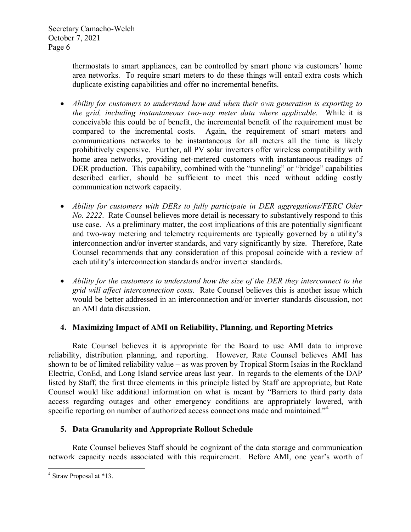thermostats to smart appliances, can be controlled by smart phone via customers' home area networks. To require smart meters to do these things will entail extra costs which duplicate existing capabilities and offer no incremental benefits.

- *Ability for customers to understand how and when their own generation is exporting to the grid, including instantaneous two-way meter data where applicable.* While it is conceivable this could be of benefit, the incremental benefit of the requirement must be compared to the incremental costs. Again, the requirement of smart meters and communications networks to be instantaneous for all meters all the time is likely prohibitively expensive. Further, all PV solar inverters offer wireless compatibility with home area networks, providing net-metered customers with instantaneous readings of DER production. This capability, combined with the "tunneling" or "bridge" capabilities described earlier, should be sufficient to meet this need without adding costly communication network capacity.
- *Ability for customers with DERs to fully participate in DER aggregations/FERC Oder No. 2222*. Rate Counsel believes more detail is necessary to substantively respond to this use case. As a preliminary matter, the cost implications of this are potentially significant and two-way metering and telemetry requirements are typically governed by a utility's interconnection and/or inverter standards, and vary significantly by size. Therefore, Rate Counsel recommends that any consideration of this proposal coincide with a review of each utility's interconnection standards and/or inverter standards.
- *Ability for the customers to understand how the size of the DER they interconnect to the grid will affect interconnection costs*. Rate Counsel believes this is another issue which would be better addressed in an interconnection and/or inverter standards discussion, not an AMI data discussion.

# **4. Maximizing Impact of AMI on Reliability, Planning, and Reporting Metrics**

Rate Counsel believes it is appropriate for the Board to use AMI data to improve reliability, distribution planning, and reporting. However, Rate Counsel believes AMI has shown to be of limited reliability value – as was proven by Tropical Storm Isaias in the Rockland Electric, ConEd, and Long Island service areas last year. In regards to the elements of the DAP listed by Staff, the first three elements in this principle listed by Staff are appropriate, but Rate Counsel would like additional information on what is meant by "Barriers to third party data access regarding outages and other emergency conditions are appropriately lowered, with specific reporting on number of authorized access connections made and maintained."<sup>[4](#page-5-0)</sup>

# **5. Data Granularity and Appropriate Rollout Schedule**

Rate Counsel believes Staff should be cognizant of the data storage and communication network capacity needs associated with this requirement. Before AMI, one year's worth of

<span id="page-5-0"></span> <sup>4</sup> Straw Proposal at \*13.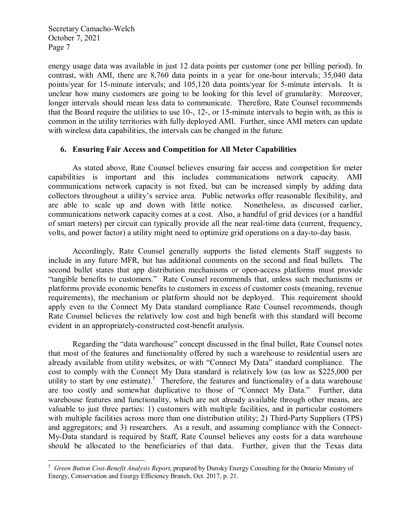energy usage data was available in just 12 data points per customer (one per billing period). In contrast, with AMI, there are 8,760 data points in a year for one-hour intervals; 35,040 data points/year for 15-minute intervals; and 105,120 data points/year for 5-minute intervals. It is unclear how many customers are going to be looking for this level of granularity. Moreover, longer intervals should mean less data to communicate. Therefore, Rate Counsel recommends that the Board require the utilities to use 10-, 12-, or 15-minute intervals to begin with, as this is common in the utility territories with fully deployed AMI. Further, since AMI meters can update with wireless data capabilities, the intervals can be changed in the future.

#### **6. Ensuring Fair Access and Competition for All Meter Capabilities**

As stated above, Rate Counsel believes ensuring fair access and competition for meter capabilities is important and this includes communications network capacity. AMI communications network capacity is not fixed, but can be increased simply by adding data collectors throughout a utility's service area. Public networks offer reasonable flexibility, and are able to scale up and down with little notice. Nonetheless, as discussed earlier, communications network capacity comes at a cost. Also, a handful of grid devices (or a handful of smart meters) per circuit can typically provide all the near real-time data (current, frequency, volts, and power factor) a utility might need to optimize grid operations on a day-to-day basis.

Accordingly, Rate Counsel generally supports the listed elements Staff suggests to include in any future MFR, but has additional comments on the second and final bullets. The second bullet states that app distribution mechanisms or open-access platforms must provide "tangible benefits to customers." Rate Counsel recommends that, unless such mechanisms or platforms provide economic benefits to customers in excess of customer costs (meaning, revenue requirements), the mechanism or platform should not be deployed. This requirement should apply even to the Connect My Data standard compliance Rate Counsel recommends, though Rate Counsel believes the relatively low cost and high benefit with this standard will become evident in an appropriately-constructed cost-benefit analysis.

Regarding the "data warehouse" concept discussed in the final bullet, Rate Counsel notes that most of the features and functionality offered by such a warehouse to residential users are already available from utility websites, or with "Connect My Data" standard compliance. The cost to comply with the Connect My Data standard is relatively low (as low as \$225,000 per utility to start by one estimate).<sup>[5](#page-6-0)</sup> Therefore, the features and functionality of a data warehouse are too costly and somewhat duplicative to those of "Connect My Data." Further, data warehouse features and functionality, which are not already available through other means, are valuable to just three parties: 1) customers with multiple facilities, and in particular customers with multiple facilities across more than one distribution utility; 2) Third-Party Suppliers (TPS) and aggregators; and 3) researchers. As a result, and assuming compliance with the Connect-My-Data standard is required by Staff, Rate Counsel believes any costs for a data warehouse should be allocated to the beneficiaries of that data. Further, given that the Texas data

<span id="page-6-0"></span> <sup>5</sup> *Green Button Cost-Benefit Analysis Report*, prepared by Dunsky Energy Consulting for the Ontario Ministry of Energy, Conservation and Energy Efficiency Branch, Oct. 2017, p. 21.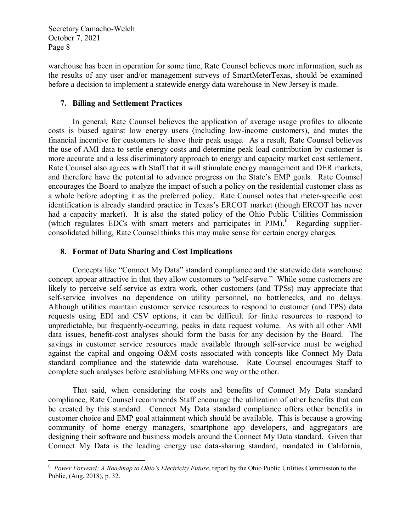warehouse has been in operation for some time, Rate Counsel believes more information, such as the results of any user and/or management surveys of SmartMeterTexas, should be examined before a decision to implement a statewide energy data warehouse in New Jersey is made.

## **7. Billing and Settlement Practices**

In general, Rate Counsel believes the application of average usage profiles to allocate costs is biased against low energy users (including low-income customers), and mutes the financial incentive for customers to shave their peak usage. As a result, Rate Counsel believes the use of AMI data to settle energy costs and determine peak load contribution by customer is more accurate and a less discriminatory approach to energy and capacity market cost settlement. Rate Counsel also agrees with Staff that it will stimulate energy management and DER markets, and therefore have the potential to advance progress on the State's EMP goals. Rate Counsel encourages the Board to analyze the impact of such a policy on the residential customer class as a whole before adopting it as the preferred policy. Rate Counsel notes that meter-specific cost identification is already standard practice in Texas's ERCOT market (though ERCOT has never had a capacity market). It is also the stated policy of the Ohio Public Utilities Commission (which regulates EDCs with smart meters and participates in PJM).<sup>[6](#page-7-0)</sup> Regarding supplierconsolidated billing, Rate Counsel thinks this may make sense for certain energy charges.

# **8. Format of Data Sharing and Cost Implications**

Concepts like "Connect My Data" standard compliance and the statewide data warehouse concept appear attractive in that they allow customers to "self-serve." While some customers are likely to perceive self-service as extra work, other customers (and TPSs) may appreciate that self-service involves no dependence on utility personnel, no bottlenecks, and no delays. Although utilities maintain customer service resources to respond to customer (and TPS) data requests using EDI and CSV options, it can be difficult for finite resources to respond to unpredictable, but frequently-occurring, peaks in data request volume. As with all other AMI data issues, benefit-cost analyses should form the basis for any decision by the Board. The savings in customer service resources made available through self-service must be weighed against the capital and ongoing O&M costs associated with concepts like Connect My Data standard compliance and the statewide data warehouse. Rate Counsel encourages Staff to complete such analyses before establishing MFRs one way or the other.

That said, when considering the costs and benefits of Connect My Data standard compliance, Rate Counsel recommends Staff encourage the utilization of other benefits that can be created by this standard. Connect My Data standard compliance offers other benefits in customer choice and EMP goal attainment which should be available. This is because a growing community of home energy managers, smartphone app developers, and aggregators are designing their software and business models around the Connect My Data standard. Given that Connect My Data is the leading energy use data-sharing standard, mandated in California,

<span id="page-7-0"></span> $\frac{1}{6}$  *Power Forward: A Roadmap to Ohio's Electricity Future*, report by the Ohio Public Utilities Commission to the Public, (Aug. 2018), p. 32.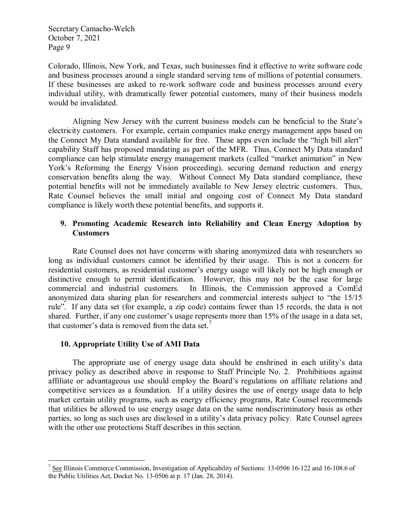Colorado, Illinois, New York, and Texas, such businesses find it effective to write software code and business processes around a single standard serving tens of millions of potential consumers. If these businesses are asked to re-work software code and business processes around every individual utility, with dramatically fewer potential customers, many of their business models would be invalidated.

Aligning New Jersey with the current business models can be beneficial to the State's electricity customers. For example, certain companies make energy management apps based on the Connect My Data standard available for free. These apps even include the "high bill alert" capability Staff has proposed mandating as part of the MFR. Thus, Connect My Data standard compliance can help stimulate energy management markets (called "market animation" in New York's Reforming the Energy Vision proceeding), securing demand reduction and energy conservation benefits along the way. Without Connect My Data standard compliance, these potential benefits will not be immediately available to New Jersey electric customers. Thus, Rate Counsel believes the small initial and ongoing cost of Connect My Data standard compliance is likely worth these potential benefits, and supports it.

# **9. Promoting Academic Research into Reliability and Clean Energy Adoption by Customers**

Rate Counsel does not have concerns with sharing anonymized data with researchers so long as individual customers cannot be identified by their usage. This is not a concern for residential customers, as residential customer's energy usage will likely not be high enough or distinctive enough to permit identification. However, this may not be the case for large commercial and industrial customers. In Illinois, the Commission approved a ComEd anonymized data sharing plan for researchers and commercial interests subject to "the 15/15 rule". If any data set (for example, a zip code) contains fewer than 15 records, the data is not shared. Further, if any one customer's usage represents more than 15% of the usage in a data set, that customer's data is removed from the data set.<sup>[7](#page-8-0)</sup>

### **10. Appropriate Utility Use of AMI Data**

The appropriate use of energy usage data should be enshrined in each utility's data privacy policy as described above in response to Staff Principle No. 2. Prohibitions against affiliate or advantageous use should employ the Board's regulations on affiliate relations and competitive services as a foundation. If a utility desires the use of energy usage data to help market certain utility programs, such as energy efficiency programs, Rate Counsel recommends that utilities be allowed to use energy usage data on the same nondiscriminatory basis as other parties, so long as such uses are disclosed in a utility's data privacy policy. Rate Counsel agrees with the other use protections Staff describes in this section.

<span id="page-8-0"></span><sup>&</sup>lt;sup>7</sup> See Illinois Commerce Commission, Investigation of Applicability of Sections: 13-0506 16-122 and 16-108.6 of the Public Utilities Act, Docket No. 13-0506 at p. 17 (Jan. 28, 2014).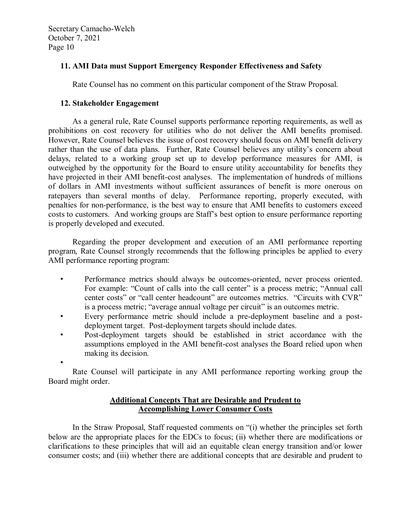# **11. AMI Data must Support Emergency Responder Effectiveness and Safety**

Rate Counsel has no comment on this particular component of the Straw Proposal.

## **12. Stakeholder Engagement**

As a general rule, Rate Counsel supports performance reporting requirements, as well as prohibitions on cost recovery for utilities who do not deliver the AMI benefits promised. However, Rate Counsel believes the issue of cost recovery should focus on AMI benefit delivery rather than the use of data plans. Further, Rate Counsel believes any utility's concern about delays, related to a working group set up to develop performance measures for AMI, is outweighed by the opportunity for the Board to ensure utility accountability for benefits they have projected in their AMI benefit-cost analyses. The implementation of hundreds of millions of dollars in AMI investments without sufficient assurances of benefit is more onerous on ratepayers than several months of delay. Performance reporting, properly executed, with penalties for non-performance, is the best way to ensure that AMI benefits to customers exceed costs to customers. And working groups are Staff's best option to ensure performance reporting is properly developed and executed.

Regarding the proper development and execution of an AMI performance reporting program, Rate Counsel strongly recommends that the following principles be applied to every AMI performance reporting program:

- Performance metrics should always be outcomes-oriented, never process oriented. For example: "Count of calls into the call center" is a process metric; "Annual call center costs" or "call center headcount" are outcomes metrics. "Circuits with CVR" is a process metric; "average annual voltage per circuit" is an outcomes metric.
- Every performance metric should include a pre-deployment baseline and a postdeployment target. Post-deployment targets should include dates.
- Post-deployment targets should be established in strict accordance with the assumptions employed in the AMI benefit-cost analyses the Board relied upon when making its decision.
- •

Rate Counsel will participate in any AMI performance reporting working group the Board might order.

# **Additional Concepts That are Desirable and Prudent to Accomplishing Lower Consumer Costs**

In the Straw Proposal, Staff requested comments on "(i) whether the principles set forth below are the appropriate places for the EDCs to focus; (ii) whether there are modifications or clarifications to these principles that will aid an equitable clean energy transition and/or lower consumer costs; and (iii) whether there are additional concepts that are desirable and prudent to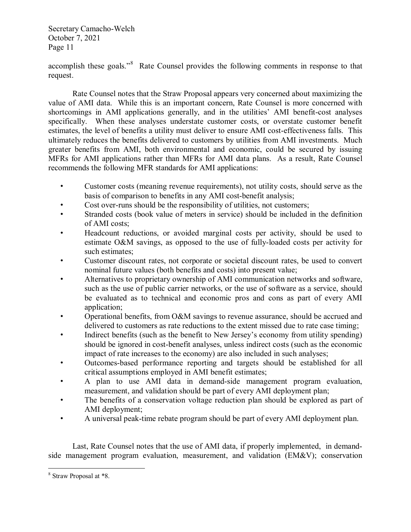accomplish these goals."<sup>[8](#page-10-0)</sup> Rate Counsel provides the following comments in response to that request.

Rate Counsel notes that the Straw Proposal appears very concerned about maximizing the value of AMI data. While this is an important concern, Rate Counsel is more concerned with shortcomings in AMI applications generally, and in the utilities' AMI benefit-cost analyses specifically. When these analyses understate customer costs, or overstate customer benefit estimates, the level of benefits a utility must deliver to ensure AMI cost-effectiveness falls. This ultimately reduces the benefits delivered to customers by utilities from AMI investments. Much greater benefits from AMI, both environmental and economic, could be secured by issuing MFRs for AMI applications rather than MFRs for AMI data plans. As a result, Rate Counsel recommends the following MFR standards for AMI applications:

- Customer costs (meaning revenue requirements), not utility costs, should serve as the basis of comparison to benefits in any AMI cost-benefit analysis;
- Cost over-runs should be the responsibility of utilities, not customers;
- Stranded costs (book value of meters in service) should be included in the definition of AMI costs;
- Headcount reductions, or avoided marginal costs per activity, should be used to estimate O&M savings, as opposed to the use of fully-loaded costs per activity for such estimates;
- Customer discount rates, not corporate or societal discount rates, be used to convert nominal future values (both benefits and costs) into present value;
- Alternatives to proprietary ownership of AMI communication networks and software, such as the use of public carrier networks, or the use of software as a service, should be evaluated as to technical and economic pros and cons as part of every AMI application;
- Operational benefits, from O&M savings to revenue assurance, should be accrued and delivered to customers as rate reductions to the extent missed due to rate case timing;
- Indirect benefits (such as the benefit to New Jersey's economy from utility spending) should be ignored in cost-benefit analyses, unless indirect costs (such as the economic impact of rate increases to the economy) are also included in such analyses;
- Outcomes-based performance reporting and targets should be established for all critical assumptions employed in AMI benefit estimates;
- A plan to use AMI data in demand-side management program evaluation, measurement, and validation should be part of every AMI deployment plan;
- The benefits of a conservation voltage reduction plan should be explored as part of AMI deployment;
- A universal peak-time rebate program should be part of every AMI deployment plan.

Last, Rate Counsel notes that the use of AMI data, if properly implemented, in demandside management program evaluation, measurement, and validation (EM&V); conservation

<span id="page-10-0"></span> <sup>8</sup> Straw Proposal at \*8.